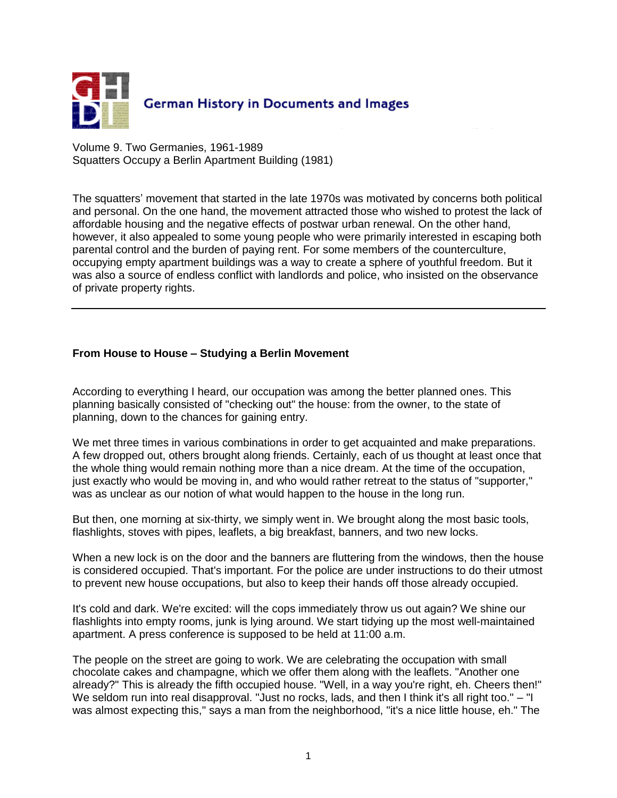

Volume 9. Two Germanies, 1961-1989 Squatters Occupy a Berlin Apartment Building (1981)

The squatters' movement that started in the late 1970s was motivated by concerns both political and personal. On the one hand, the movement attracted those who wished to protest the lack of affordable housing and the negative effects of postwar urban renewal. On the other hand, however, it also appealed to some young people who were primarily interested in escaping both parental control and the burden of paying rent. For some members of the counterculture, occupying empty apartment buildings was a way to create a sphere of youthful freedom. But it was also a source of endless conflict with landlords and police, who insisted on the observance of private property rights.

## **From House to House – Studying a Berlin Movement**

According to everything I heard, our occupation was among the better planned ones. This planning basically consisted of "checking out" the house: from the owner, to the state of planning, down to the chances for gaining entry.

We met three times in various combinations in order to get acquainted and make preparations. A few dropped out, others brought along friends. Certainly, each of us thought at least once that the whole thing would remain nothing more than a nice dream. At the time of the occupation, just exactly who would be moving in, and who would rather retreat to the status of "supporter," was as unclear as our notion of what would happen to the house in the long run.

But then, one morning at six-thirty, we simply went in. We brought along the most basic tools, flashlights, stoves with pipes, leaflets, a big breakfast, banners, and two new locks.

When a new lock is on the door and the banners are fluttering from the windows, then the house is considered occupied. That's important. For the police are under instructions to do their utmost to prevent new house occupations, but also to keep their hands off those already occupied.

It's cold and dark. We're excited: will the cops immediately throw us out again? We shine our flashlights into empty rooms, junk is lying around. We start tidying up the most well-maintained apartment. A press conference is supposed to be held at 11:00 a.m.

The people on the street are going to work. We are celebrating the occupation with small chocolate cakes and champagne, which we offer them along with the leaflets. "Another one already?" This is already the fifth occupied house. "Well, in a way you're right, eh. Cheers then!" We seldom run into real disapproval. "Just no rocks, lads, and then I think it's all right too." – "I was almost expecting this," says a man from the neighborhood, "it's a nice little house, eh." The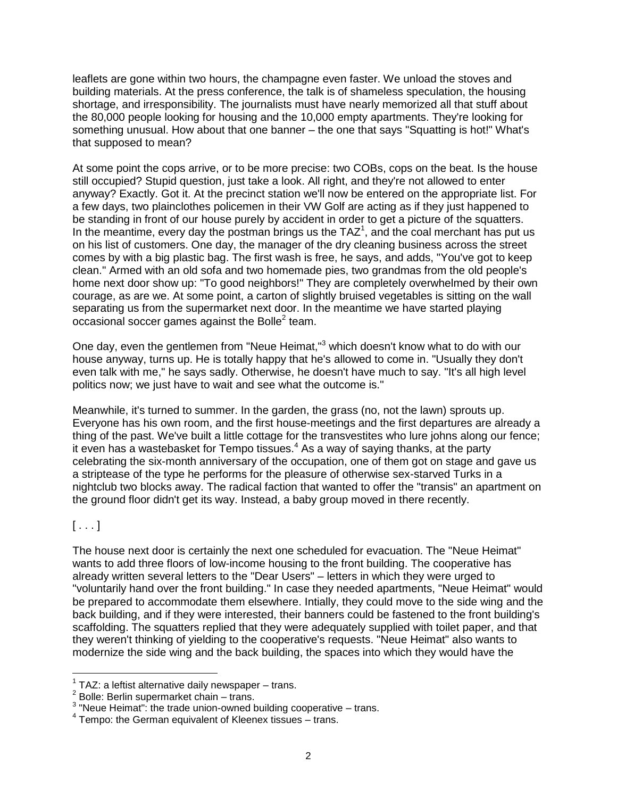leaflets are gone within two hours, the champagne even faster. We unload the stoves and building materials. At the press conference, the talk is of shameless speculation, the housing shortage, and irresponsibility. The journalists must have nearly memorized all that stuff about the 80,000 people looking for housing and the 10,000 empty apartments. They're looking for something unusual. How about that one banner – the one that says "Squatting is hot!" What's that supposed to mean?

At some point the cops arrive, or to be more precise: two COBs, cops on the beat. Is the house still occupied? Stupid question, just take a look. All right, and they're not allowed to enter anyway? Exactly. Got it. At the precinct station we'll now be entered on the appropriate list. For a few days, two plainclothes policemen in their VW Golf are acting as if they just happened to be standing in front of our house purely by accident in order to get a picture of the squatters. In the meantime, every day the postman brings us the TAZ<sup>1</sup>, and the coal merchant has put us on his list of customers. One day, the manager of the dry cleaning business across the street comes by with a big plastic bag. The first wash is free, he says, and adds, "You've got to keep clean." Armed with an old sofa and two homemade pies, two grandmas from the old people's home next door show up: "To good neighbors!" They are completely overwhelmed by their own courage, as are we. At some point, a carton of slightly bruised vegetables is sitting on the wall separating us from the supermarket next door. In the meantime we have started playing occasional soccer games against the Bolle<sup>2</sup> team.

One day, even the gentlemen from "Neue Heimat,"<sup>3</sup> which doesn't know what to do with our house anyway, turns up. He is totally happy that he's allowed to come in. "Usually they don't even talk with me," he says sadly. Otherwise, he doesn't have much to say. "It's all high level politics now; we just have to wait and see what the outcome is."

Meanwhile, it's turned to summer. In the garden, the grass (no, not the lawn) sprouts up. Everyone has his own room, and the first house-meetings and the first departures are already a thing of the past. We've built a little cottage for the transvestites who lure johns along our fence; it even has a wastebasket for Tempo tissues.<sup>4</sup> As a way of saying thanks, at the party celebrating the six-month anniversary of the occupation, one of them got on stage and gave us a striptease of the type he performs for the pleasure of otherwise sex-starved Turks in a nightclub two blocks away. The radical faction that wanted to offer the "transis" an apartment on the ground floor didn't get its way. Instead, a baby group moved in there recently.

 $[\ldots]$ 

 $\overline{a}$ 

The house next door is certainly the next one scheduled for evacuation. The "Neue Heimat" wants to add three floors of low-income housing to the front building. The cooperative has already written several letters to the "Dear Users" – letters in which they were urged to "voluntarily hand over the front building." In case they needed apartments, "Neue Heimat" would be prepared to accommodate them elsewhere. Intially, they could move to the side wing and the back building, and if they were interested, their banners could be fastened to the front building's scaffolding. The squatters replied that they were adequately supplied with toilet paper, and that they weren't thinking of yielding to the cooperative's requests. "Neue Heimat" also wants to modernize the side wing and the back building, the spaces into which they would have the

 $1$  TAZ: a leftist alternative daily newspaper  $-$  trans.

 $2$  Bolle: Berlin supermarket chain – trans.

 $3$  "Neue Heimat": the trade union-owned building cooperative  $-$  trans.

<sup>4</sup> Tempo: the German equivalent of Kleenex tissues – trans.